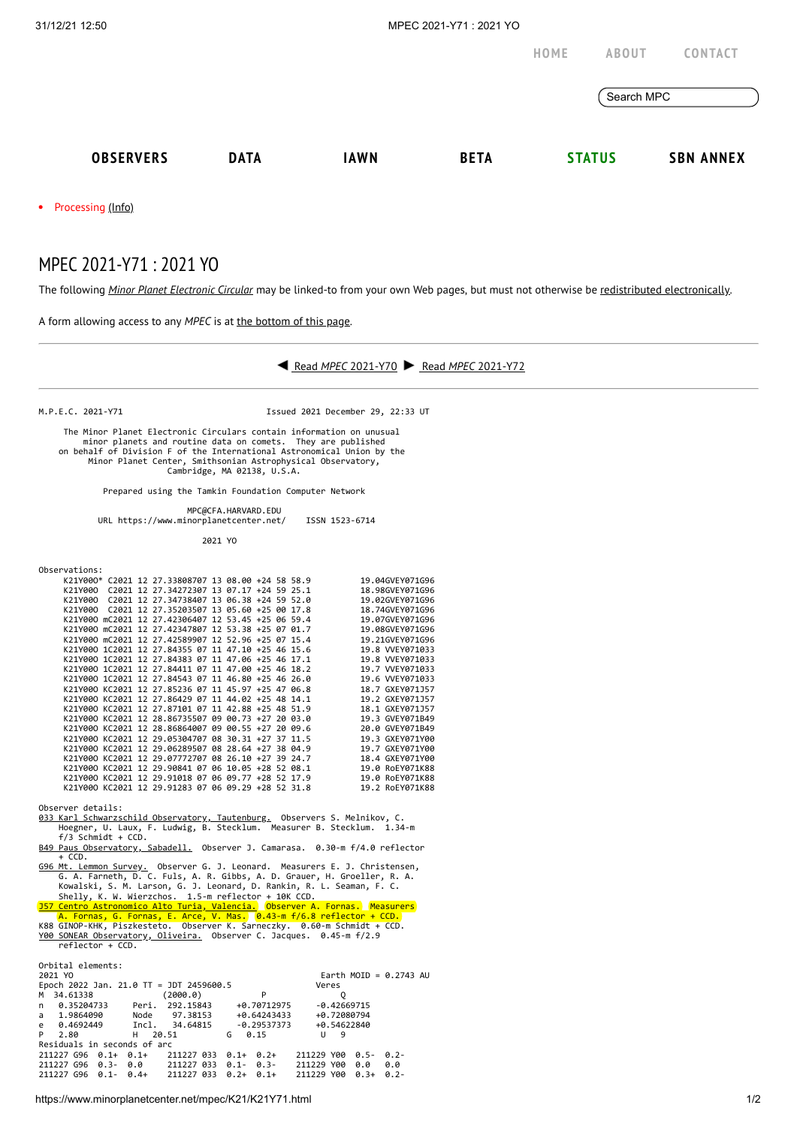**[HOME](https://www.minorplanetcenter.net/) [ABOUT](https://www.minorplanetcenter.net/about) [CONTACT](https://mpc-service.atlassian.net/servicedesk/customer/portals)**

Search MPC

• Processing [\(Info\)](https://www.minorplanetcenter.net/iau/info/MPCOpStatus.html)

## MPEC 2021-Y71 : 2021 YO

The following *Minor Planet [Electronic](https://www.minorplanetcenter.net/iau/services/MPEC.html) Circular* may be linked-to from your own Web pages, but must not otherwise be redistributed [electronically](https://www.minorplanetcenter.net/iau/WWWPolicy.html).

A form allowing access to any *MPEC* is at the [bottom](https://www.minorplanetcenter.net/mpec/K19/K21Y71.html#form) of this page.



M.P.E.C. 2021-Y71 Issued 2021 December 29, 22:33 UT

 The Minor Planet Electronic Circulars contain information on unusual minor planets and routine data on comets. They are published on behalf of Division F of the International Astronomical Union by the Minor Planet Center, Smithsonian Astrophysical Observatory, Cambridge, MA 02138, U.S.A.

Prepared using the Tamkin Foundation Computer Network

 MPC@CFA.HARVARD.EDU URL https://www.minorplanetcenter.net/ ISSN 1523-6714

2021 YO

Observations:

|         |  | K21Y000* C2021 12 27.33808707 13 08.00 +24 58 58.9 |  |  | 19.04GVEY071G96 |
|---------|--|----------------------------------------------------|--|--|-----------------|
| K21Y000 |  | C2021 12 27.34272307 13 07.17 +24 59 25.1          |  |  | 18.98GVEY071G96 |
| K21Y000 |  | C2021 12 27.34738407 13 06.38 +24 59 52.0          |  |  | 19.02GVEY071G96 |
| K21Y000 |  | C2021 12 27.35203507 13 05.60 +25 00 17.8          |  |  | 18.74GVEY071G96 |
|         |  | K21Y000 mC2021 12 27.42306407 12 53.45 +25 06 59.4 |  |  | 19.07GVEY071G96 |
|         |  | K21Y000 mC2021 12 27.42347807 12 53.38 +25 07 01.7 |  |  | 19.08GVEY071G96 |
|         |  | K21Y000 mC2021 12 27.42589907 12 52.96 +25 07 15.4 |  |  | 19.21GVEY071G96 |
|         |  | K21Y000 1C2021 12 27.84355 07 11 47.10 +25 46 15.6 |  |  | 19.8 WEY071033  |
|         |  | K21Y000 1C2021 12 27.84383 07 11 47.06 +25 46 17.1 |  |  | 19.8 VVEY071033 |
|         |  | K21Y000 1C2021 12 27.84411 07 11 47.00 +25 46 18.2 |  |  | 19.7 VVEY071033 |
|         |  | K21Y000 1C2021 12 27.84543 07 11 46.80 +25 46 26.0 |  |  | 19.6 VVEY071033 |
|         |  | K21Y000 KC2021 12 27.85236 07 11 45.97 +25 47 06.8 |  |  | 18.7 GXEY071J57 |
|         |  | K21Y000 KC2021 12 27.86429 07 11 44.02 +25 48 14.1 |  |  | 19.2 GXEY071J57 |
|         |  | K21Y000 KC2021 12 27.87101 07 11 42.88 +25 48 51.9 |  |  | 18.1 GXEY071157 |
|         |  | K21Y000 KC2021 12 28.86735507 09 00.73 +27 20 03.0 |  |  | 19.3 GVEY071B49 |
|         |  | K21Y000 KC2021 12 28.86864007 09 00.55 +27 20 09.6 |  |  | 20.0 GVEY071B49 |
|         |  | K21Y000 KC2021 12 29.05304707 08 30.31 +27 37 11.5 |  |  | 19.3 GXEY071Y00 |
|         |  | K21Y000 KC2021 12 29.06289507 08 28.64 +27 38 04.9 |  |  | 19.7 GXEY071Y00 |
|         |  | K21Y000 KC2021 12 29.07772707 08 26.10 +27 39 24.7 |  |  | 18.4 GXEY071Y00 |
|         |  | K21Y000 KC2021 12 29.90841 07 06 10.05 +28 52 08.1 |  |  | 19.0 RoEY071K88 |
|         |  | K21Y000 KC2021 12 29.91018 07 06 09.77 +28 52 17.9 |  |  | 19.0 RoEY071K88 |
|         |  | K21Y000 KC2021 12 29.91283 07 06 09.29 +28 52 31.8 |  |  | 19.2 RoEY071K88 |
|         |  |                                                    |  |  |                 |

Observer details:

[033 Karl Schwarzschild Observatory, Tautenburg.](http://www.tls-tautenburg.de/) Observers S. Melnikov, C. Hoegner, U. Laux, F. Ludwig, B. Stecklum. Measurer B. Stecklum. 1.34-m f/3 Schmidt + CCD.

[B49 Paus Observatory, Sabadell.](http://obspausb49.blogspot.com.es/) Observer J. Camarasa. 0.30-m f/4.0 reflector  $+$  CCD.

[G96 Mt. Lemmon Survey.](http://www.lpl.arizona.edu/css/) Observer G. J. Leonard. Measurers E. J. Christensen,<br>G. A. Farneth, D. C. Fuls, A. R. Gibbs, A. D. Grauer, H. Groeller, R. A.<br>Kowalski, S. M. Larson, G. J. Leonard, D. Rankin, R. L. Seaman, F. C.

Shelly, K. W. Wierzchos. 1.5-m reflector + 10K CCD.<br><u>J57 Centro Astronomico Alto Turia, Valencia.</u> Observer A. Fornas. Measurers<br>A. Fornas, G. Fornas, E. Arce, V. Mas. 0.43-m f/6.8 reflector + CCD.<br>K88 GINOP-KHK, Piszkeste

| Orbital elements:<br>2021 YO | Epoch 2022 Jan. 21.0 TT = JDT 2459600.5 |                  | Earth MOID = $0.2743$ AU<br>Veres |         |
|------------------------------|-----------------------------------------|------------------|-----------------------------------|---------|
| 34.61338<br>M                | (2000.0)                                | P                | 0                                 |         |
|                              |                                         |                  |                                   |         |
| 0.35204733<br>n              | 292.15843<br>Peri.                      | +0.70712975      | $-0.42669715$                     |         |
| 1.9864090<br>a               | Node<br>97.38153                        | +0.64243433      | +0.72080794                       |         |
| 0.4692449<br>e               | Incl.<br>34.64815                       | $-0.29537373$    | +0.54622840                       |         |
| P<br>2.80                    | н<br>20.51                              | G<br>0.15        | u<br>9                            |         |
| Residuals in seconds of arc  |                                         |                  |                                   |         |
| 211227 G96<br>$0.1+0.1+$     | 211227 033                              | $0.1 + 0.2 +$    | 211229 Y00<br>$0.5 - 0.2 -$       |         |
| 211227 G96                   | $0.3 - 0.0$ 211227 033                  | $0.1 - 0.3 -$    | 211229 Y00<br>0.0                 | 0.0     |
| 211227 G96<br>$0.1 -$        | 211227 033<br>$0.4+$                    | $0.2+$<br>$0.1+$ | 211229 Y00<br>$0.3+$              | $0.2 -$ |